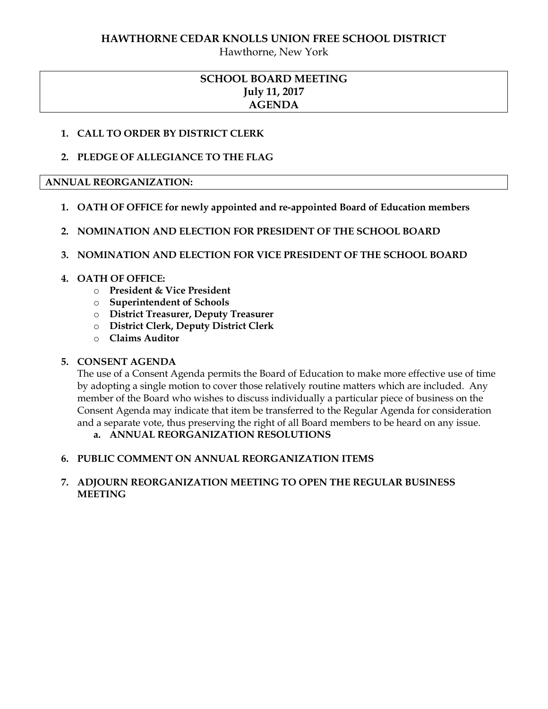### **HAWTHORNE CEDAR KNOLLS UNION FREE SCHOOL DISTRICT**

Hawthorne, New York

# **SCHOOL BOARD MEETING July 11, 2017 AGENDA**

## **1. CALL TO ORDER BY DISTRICT CLERK**

## **2. PLEDGE OF ALLEGIANCE TO THE FLAG**

### **ANNUAL REORGANIZATION:**

- **1. OATH OF OFFICE for newly appointed and re-appointed Board of Education members**
- **2. NOMINATION AND ELECTION FOR PRESIDENT OF THE SCHOOL BOARD**

### **3. NOMINATION AND ELECTION FOR VICE PRESIDENT OF THE SCHOOL BOARD**

## **4. OATH OF OFFICE:**

- o **President & Vice President**
- o **Superintendent of Schools**
- o **District Treasurer, Deputy Treasurer**
- o **District Clerk, Deputy District Clerk**
- o **Claims Auditor**

### **5. CONSENT AGENDA**

The use of a Consent Agenda permits the Board of Education to make more effective use of time by adopting a single motion to cover those relatively routine matters which are included. Any member of the Board who wishes to discuss individually a particular piece of business on the Consent Agenda may indicate that item be transferred to the Regular Agenda for consideration and a separate vote, thus preserving the right of all Board members to be heard on any issue.

# **a. ANNUAL REORGANIZATION RESOLUTIONS**

### **6. PUBLIC COMMENT ON ANNUAL REORGANIZATION ITEMS**

## **7. ADJOURN REORGANIZATION MEETING TO OPEN THE REGULAR BUSINESS MEETING**